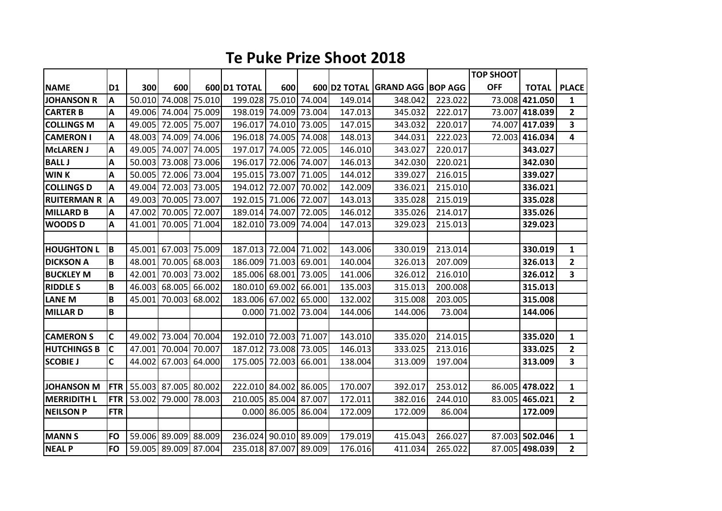## **Te Puke Prize Shoot 2018**

|                    |                |                      |                      |               |                |                |        |         |                                |         | <b>TOP SHOOT</b> |                |                         |
|--------------------|----------------|----------------------|----------------------|---------------|----------------|----------------|--------|---------|--------------------------------|---------|------------------|----------------|-------------------------|
| <b>NAME</b>        | D <sub>1</sub> | 300                  | 600                  |               | 600 D1 TOTAL   | 600            |        |         | 600 D2 TOTAL GRAND AGG BOP AGG |         | <b>OFF</b>       | <b>TOTAL</b>   | <b>PLACE</b>            |
| <b>JOHANSON R</b>  | A              | 50.010               |                      | 74.008 75.010 | 199.028 75.010 |                | 74.004 | 149.014 | 348.042                        | 223.022 | 73.008           | 421.050        | 1                       |
| <b>CARTER B</b>    | Α              |                      | 49.006 74.004 75.009 |               | 198.019        | 74.009         | 73.004 | 147.013 | 345.032                        | 222.017 | 73.007           | 418.039        | $\overline{2}$          |
| <b>COLLINGS M</b>  | A              | 49.005               | 72.005 75.007        |               | 196.017        | 74.010         | 73.005 | 147.015 | 343.032                        | 220.017 | 74.007           | 417.039        | 3                       |
| <b>CAMERON I</b>   | А              | 48.003               | 74.009               | 74.006        | 196.018 74.005 |                | 74.008 | 148.013 | 344.031                        | 222.023 | 72.003           | 416.034        | 4                       |
| <b>McLAREN J</b>   | A              | 49.005               | 74.007               | 74.005        | 197.017        | 74.005         | 72.005 | 146.010 | 343.027                        | 220.017 |                  | 343.027        |                         |
| <b>BALL J</b>      | Α              | 50.003               | 73.008               | 73.006        | 196.017        | 72.006         | 74.007 | 146.013 | 342.030                        | 220.021 |                  | 342.030        |                         |
| <b>WINK</b>        | A              | 50.005               | 72.006               | 73.004        | 195.015        | 73.007         | 71.005 | 144.012 | 339.027                        | 216.015 |                  | 339.027        |                         |
| <b>COLLINGS D</b>  | Α              | 49.004               | 72.003 73.005        |               | 194.012        | 72.007         | 70.002 | 142.009 | 336.021                        | 215.010 |                  | 336.021        |                         |
| <b>RUITERMAN R</b> | A              | 49.003               | 70.005               | 73.007        | 192.015        | 71.006         | 72.007 | 143.013 | 335.028                        | 215.019 |                  | 335.028        |                         |
| <b>MILLARD B</b>   | Α              | 47.002               | 70.005               | 72.007        | 189.014        | 74.007         | 72.005 | 146.012 | 335.026                        | 214.017 |                  | 335.026        |                         |
| <b>WOODSD</b>      | Α              | 41.001               | 70.005               | 71.004        | 182.010        | 73.009         | 74.004 | 147.013 | 329.023                        | 215.013 |                  | 329.023        |                         |
|                    |                |                      |                      |               |                |                |        |         |                                |         |                  |                |                         |
| <b>HOUGHTON L</b>  | İΒ.            |                      | 45.001 67.003 75.009 |               | 187.013 72.004 |                | 71.002 | 143.006 | 330.019                        | 213.014 |                  | 330.019        | $\mathbf{1}$            |
| <b>DICKSON A</b>   | B              | 48.001               | 70.005               | 68.003        | 186.009        | 71.003         | 69.001 | 140.004 | 326.013                        | 207.009 |                  | 326.013        | $\mathbf{2}$            |
| <b>BUCKLEY M</b>   | B              | 42.001               | 70.003               | 73.002        | 185.006 68.001 |                | 73.005 | 141.006 | 326.012                        | 216.010 |                  | 326.012        | $\overline{\mathbf{3}}$ |
| <b>RIDDLE S</b>    | $\, {\bf B}$   | 46.003               | 68.005               | 66.002        | 180.010        | 69.002         | 66.001 | 135.003 | 315.013                        | 200.008 |                  | 315.013        |                         |
| <b>LANE M</b>      | B              | 45.001               | 70.003               | 68.002        | 183.006        | 67.002         | 65.000 | 132.002 | 315.008                        | 203.005 |                  | 315.008        |                         |
| <b>MILLARD</b>     | B              |                      |                      |               |                | 0.000 71.002   | 73.004 | 144.006 | 144.006                        | 73.004  |                  | 144.006        |                         |
|                    |                |                      |                      |               |                |                |        |         |                                |         |                  |                |                         |
| <b>CAMERON S</b>   | C              | 49.002               | 73.004               | 70.004        | 192.010 72.003 |                | 71.007 | 143.010 | 335.020                        | 214.015 |                  | 335.020        | 1                       |
| <b>HUTCHINGS B</b> | C              | 47.001               | 70.004               | 70.007        | 187.012        | 73.008         | 73.005 | 146.013 | 333.025                        | 213.016 |                  | 333.025        | $\mathbf{2}$            |
| <b>SCOBIE J</b>    | C              | 44.002               | 67.003               | 64.000        | 175.005        | 72.003         | 66.001 | 138.004 | 313.009                        | 197.004 |                  | 313.009        | 3                       |
|                    |                |                      |                      |               |                |                |        |         |                                |         |                  |                |                         |
| <b>JOHANSON M</b>  | <b>FTR</b>     | 55.003 87.005 80.002 |                      |               | 222.010 84.002 |                | 86.005 | 170.007 | 392.017                        | 253.012 |                  | 86.005 478.022 | 1                       |
| <b>MERRIDITH L</b> | <b>FTR</b>     | 53.002               | 79.000               | 78.003        | 210.005        | 85.004         | 87.007 | 172.011 | 382.016                        | 244.010 |                  | 83.005 465.021 | $\overline{2}$          |
| <b>NEILSON P</b>   | <b>FTR</b>     |                      |                      |               |                | $0.000$ 86.005 | 86.004 | 172.009 | 172.009                        | 86.004  |                  | 172.009        |                         |
|                    |                |                      |                      |               |                |                |        |         |                                |         |                  |                |                         |
| <b>MANN S</b>      | <b>FO</b>      |                      | 59.006 89.009 88.009 |               | 236.024 90.010 |                | 89.009 | 179.019 | 415.043                        | 266.027 |                  | 87.003 502.046 | 1                       |
| <b>NEAL P</b>      | <b>FO</b>      |                      | 59.005 89.009 87.004 |               | 235.018 87.007 |                | 89.009 | 176.016 | 411.034                        | 265.022 |                  | 87.005 498.039 | $\mathbf{2}$            |